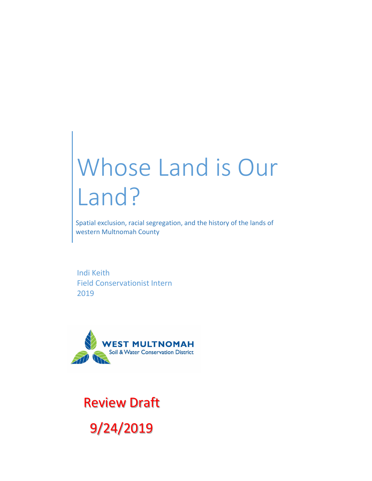# Whose Land is Our Land?

Spatial exclusion, racial segregation, and the history of the lands of western Multnomah County

Indi Keith Field Conservationist Intern 2019



Review Draft 9/24/2019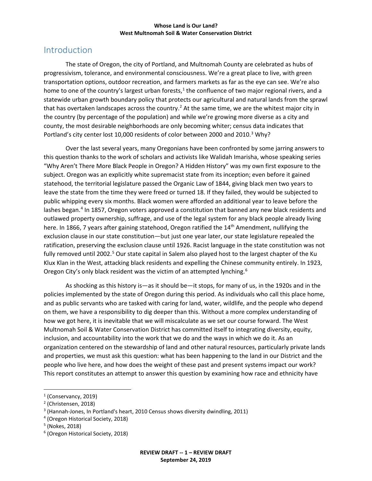## Introduction

The state of Oregon, the city of Portland, and Multnomah County are celebrated as hubs of progressivism, tolerance, and environmental consciousness. We're a great place to live, with green transportation options, outdoor recreation, and farmers markets as far as the eye can see. We're also home to one of the country's largest urban forests, $1$  the confluence of two major regional rivers, and a statewide urban growth boundary policy that protects our agricultural and natural lands from the sprawl that has overtaken landscapes across the country.<sup>[2](#page-1-1)</sup> At the same time, we are the whitest major city in the country (by percentage of the population) and while we're growing more diverse as a city and county, the most desirable neighborhoods are only becoming whiter; census data indicates that Portland's city center lost 10,000 residents of color between 2000 and 2010.<sup>[3](#page-1-2)</sup> Why?

Over the last several years, many Oregonians have been confronted by some jarring answers to this question thanks to the work of scholars and activists like Walidah Imarisha, whose speaking series "Why Aren't There More Black People in Oregon? A Hidden History" was my own first exposure to the subject. Oregon was an explicitly white supremacist state from its inception; even before it gained statehood, the territorial legislature passed the Organic Law of 1844, giving black men two years to leave the state from the time they were freed or turned 18. If they failed, they would be subjected to public whipping every six months. Black women were afforded an additional year to leave before the lashes began.<sup>[4](#page-1-3)</sup> In 1857, Oregon voters approved a constitution that banned any new black residents and outlawed property ownership, suffrage, and use of the legal system for any black people already living here. In 1866, 7 years after gaining statehood, Oregon ratified the 14<sup>th</sup> Amendment, nullifying the exclusion clause in our state constitution—but just one year later, our state legislature repealed the ratification, preserving the exclusion clause until 1926. Racist language in the state constitution was not fully removed until 2002.<sup>[5](#page-1-4)</sup> Our state capital in Salem also played host to the largest chapter of the Ku Klux Klan in the West, attacking black residents and expelling the Chinese community entirely. In 1923, Oregon City's only black resident was the victim of an attempted lynching.<sup>[6](#page-1-5)</sup>

As shocking as this history is—as it should be—it stops, for many of us, in the 1920s and in the policies implemented by the state of Oregon during this period. As individuals who call this place home, and as public servants who are tasked with caring for land, water, wildlife, and the people who depend on them, we have a responsibility to dig deeper than this. Without a more complex understanding of how we got here, it is inevitable that we will miscalculate as we set our course forward. The West Multnomah Soil & Water Conservation District has committed itself to integrating diversity, equity, inclusion, and accountability into the work that we do and the ways in which we do it. As an organization centered on the stewardship of land and other natural resources, particularly private lands and properties, we must ask this question: what has been happening to the land in our District and the people who live here, and how does the weight of these past and present systems impact our work? This report constitutes an attempt to answer this question by examining how race and ethnicity have

<span id="page-1-0"></span> $<sup>1</sup>$  (Conservancy, 2019)</sup>

<span id="page-1-1"></span><sup>2</sup> (Christensen, 2018)

<span id="page-1-2"></span><sup>3</sup> (Hannah-Jones, In Portland's heart, 2010 Census shows diversity dwindling, 2011)

<span id="page-1-3"></span><sup>4</sup> (Oregon Historical Society, 2018)

<span id="page-1-4"></span><sup>5</sup> (Nokes, 2018)

<span id="page-1-5"></span><sup>6</sup> (Oregon Historical Society, 2018)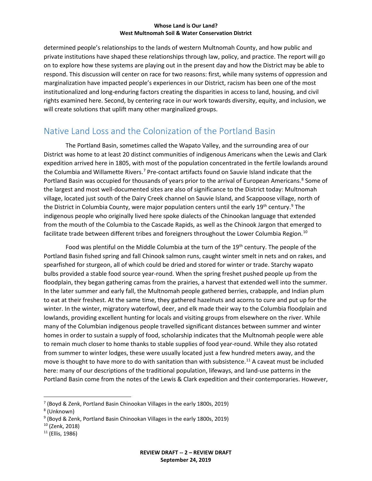determined people's relationships to the lands of western Multnomah County, and how public and private institutions have shaped these relationships through law, policy, and practice. The report will go on to explore how these systems are playing out in the present day and how the District may be able to respond. This discussion will center on race for two reasons: first, while many systems of oppression and marginalization have impacted people's experiences in our District, racism has been one of the most institutionalized and long-enduring factors creating the disparities in access to land, housing, and civil rights examined here. Second, by centering race in our work towards diversity, equity, and inclusion, we will create solutions that uplift many other marginalized groups.

## Native Land Loss and the Colonization of the Portland Basin

The Portland Basin, sometimes called the Wapato Valley, and the surrounding area of our District was home to at least 20 distinct communities of indigenous Americans when the Lewis and Clark expedition arrived here in 1805, with most of the population concentrated in the fertile lowlands around the Columbia and Willamette Rivers.<sup>[7](#page-2-0)</sup> Pre-contact artifacts found on Sauvie Island indicate that the Portland Basin was occupied for thousands of years prior to the arrival of European Americans.<sup>[8](#page-2-1)</sup> Some of the largest and most well-documented sites are also of significance to the District today: Multnomah village, located just south of the Dairy Creek channel on Sauvie Island, and Scappoose village, north of the District in Columbia County, were major population centers until the early 1[9](#page-2-2)<sup>th</sup> century.<sup>9</sup> The indigenous people who originally lived here spoke dialects of the Chinookan language that extended from the mouth of the Columbia to the Cascade Rapids, as well as the Chinook Jargon that emerged to facilitate trade between different tribes and foreigners throughout the Lower Columbia Region.<sup>[10](#page-2-3)</sup>

Food was plentiful on the Middle Columbia at the turn of the 19<sup>th</sup> century. The people of the Portland Basin fished spring and fall Chinook salmon runs, caught winter smelt in nets and on rakes, and spearfished for sturgeon, all of which could be dried and stored for winter or trade. Starchy wapato bulbs provided a stable food source year-round. When the spring freshet pushed people up from the floodplain, they began gathering camas from the prairies, a harvest that extended well into the summer. In the later summer and early fall, the Multnomah people gathered berries, crabapple, and Indian plum to eat at their freshest. At the same time, they gathered hazelnuts and acorns to cure and put up for the winter. In the winter, migratory waterfowl, deer, and elk made their way to the Columbia floodplain and lowlands, providing excellent hunting for locals and visiting groups from elsewhere on the river. While many of the Columbian indigenous people travelled significant distances between summer and winter homes in order to sustain a supply of food, scholarship indicates that the Multnomah people were able to remain much closer to home thanks to stable supplies of food year-round. While they also rotated from summer to winter lodges, these were usually located just a few hundred meters away, and the move is thought to have more to do with sanitation than with subsistence.<sup>11</sup> A caveat must be included here: many of our descriptions of the traditional population, lifeways, and land-use patterns in the Portland Basin come from the notes of the Lewis & Clark expedition and their contemporaries. However,

<span id="page-2-0"></span> <sup>7</sup> (Boyd & Zenk, Portland Basin Chinookan Villages in the early 1800s, 2019)

<span id="page-2-1"></span><sup>8</sup> (Unknown)

<span id="page-2-2"></span><sup>9</sup> (Boyd & Zenk, Portland Basin Chinookan Villages in the early 1800s, 2019)

<span id="page-2-3"></span><sup>10</sup> (Zenk, 2018)

<span id="page-2-4"></span> $11$  (Ellis, 1986)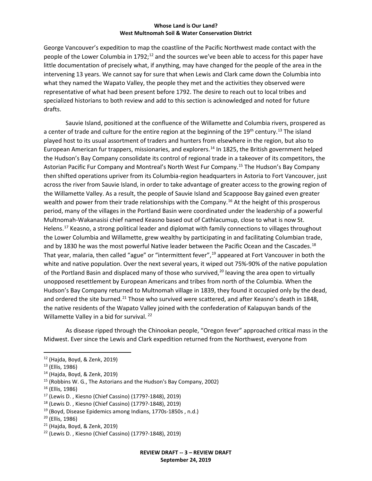George Vancouver's expedition to map the coastline of the Pacific Northwest made contact with the people of the Lower Columbia in 1792;<sup>[12](#page-3-0)</sup> and the sources we've been able to access for this paper have little documentation of precisely what, if anything, may have changed for the people of the area in the intervening 13 years. We cannot say for sure that when Lewis and Clark came down the Columbia into what they named the Wapato Valley, the people they met and the activities they observed were representative of what had been present before 1792. The desire to reach out to local tribes and specialized historians to both review and add to this section is acknowledged and noted for future drafts.

Sauvie Island, positioned at the confluence of the Willamette and Columbia rivers, prospered as a center of trade and culture for the entire region at the beginning of the 19<sup>th</sup> century.<sup>[13](#page-3-1)</sup> The island played host to its usual assortment of traders and hunters from elsewhere in the region, but also to European American fur trappers, missionaries, and explorers[.14](#page-3-2) In 1825, the British government helped the Hudson's Bay Company consolidate its control of regional trade in a takeover of its competitors, the Astorian Pacific Fur Company and Montreal's North West Fur Company.<sup>[15](#page-3-3)</sup> The Hudson's Bay Company then shifted operations upriver from its Columbia-region headquarters in Astoria to Fort Vancouver, just across the river from Sauvie Island, in order to take advantage of greater access to the growing region of the Willamette Valley. As a result, the people of Sauvie Island and Scappoose Bay gained even greater wealth and power from their trade relationships with the Company.<sup>[16](#page-3-4)</sup> At the height of this prosperous period, many of the villages in the Portland Basin were coordinated under the leadership of a powerful Multnomah-Wakanasisi chief named Keasno based out of Cathlacumup, close to what is now St. Helens.[17](#page-3-5) Keasno, a strong political leader and diplomat with family connections to villages throughout the Lower Columbia and Willamette, grew wealthy by participating in and facilitating Columbian trade, and by [18](#page-3-6)30 he was the most powerful Native leader between the Pacific Ocean and the Cascades.<sup>18</sup> That year, malaria, then called "ague" or "intermittent fever",<sup>19</sup> appeared at Fort Vancouver in both the white and native population. Over the next several years, it wiped out 75%-90% of the native population of the Portland Basin and displaced many of those who survived,<sup>[20](#page-3-8)</sup> leaving the area open to virtually unopposed resettlement by European Americans and tribes from north of the Columbia. When the Hudson's Bay Company returned to Multnomah village in 1839, they found it occupied only by the dead, and ordered the site burned.<sup>[21](#page-3-9)</sup> Those who survived were scattered, and after Keasno's death in 1848, the native residents of the Wapato Valley joined with the confederation of Kalapuyan bands of the Willamette Valley in a bid for survival.<sup>[22](#page-3-10)</sup>

As disease ripped through the Chinookan people, "Oregon fever" approached critical mass in the Midwest. Ever since the Lewis and Clark expedition returned from the Northwest, everyone from

<span id="page-3-4"></span><sup>16</sup> (Ellis, 1986)

<span id="page-3-8"></span><sup>20</sup> (Ellis, 1986)

<span id="page-3-0"></span> <sup>12</sup> (Hajda, Boyd, & Zenk, 2019)

<span id="page-3-1"></span><sup>13</sup> (Ellis, 1986)

<span id="page-3-2"></span><sup>14</sup> (Hajda, Boyd, & Zenk, 2019)

<span id="page-3-3"></span><sup>15</sup> (Robbins W. G., The Astorians and the Hudson's Bay Company, 2002)

<span id="page-3-5"></span><sup>17</sup> (Lewis D. , Kiesno (Chief Cassino) (1779?-1848), 2019)

<span id="page-3-6"></span><sup>18</sup> (Lewis D. , Kiesno (Chief Cassino) (1779?-1848), 2019)

<span id="page-3-7"></span><sup>19</sup> (Boyd, Disease Epidemics among Indians, 1770s-1850s , n.d.)

<span id="page-3-9"></span><sup>21</sup> (Hajda, Boyd, & Zenk, 2019)

<span id="page-3-10"></span><sup>22</sup> (Lewis D. , Kiesno (Chief Cassino) (1779?-1848), 2019)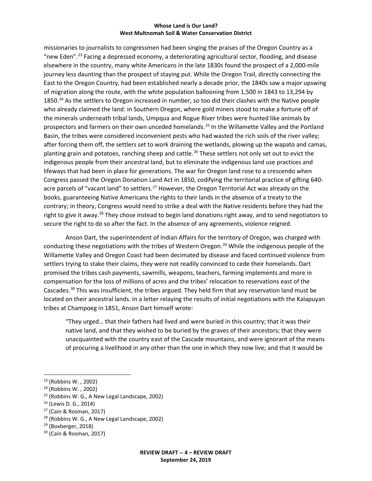missionaries to journalists to congressmen had been singing the praises of the Oregon Country as a "new Eden".<sup>[23](#page-4-0)</sup> Facing a depressed economy, a deteriorating agricultural sector, flooding, and disease elsewhere in the country, many white Americans in the late 1830s found the prospect of a 2,000-mile journey less daunting than the prospect of staying put. While the Oregon Trail, directly connecting the East to the Oregon Country, had been established nearly a decade prior, the 1840s saw a major upswing of migration along the route, with the white population ballooning from 1,500 in 1843 to 13,294 by 1850.<sup>[24](#page-4-1)</sup> As the settlers to Oregon increased in number, so too did their clashes with the Native people who already claimed the land: in Southern Oregon, where gold miners stood to make a fortune off of the minerals underneath tribal lands, Umpqua and Rogue River tribes were hunted like animals by prospectors and farmers on their own unceded homelands.[25](#page-4-2) In the Willamette Valley and the Portland Basin, the tribes were considered inconvenient pests who had wasted the rich soils of the river valley; after forcing them off, the settlers set to work draining the wetlands, plowing up the wapato and camas, planting grain and potatoes, ranching sheep and cattle.<sup>[26](#page-4-3)</sup> These settlers not only set out to evict the indigenous people from their ancestral land, but to eliminate the indigenous land use practices and lifeways that had been in place for generations. The war for Oregon land rose to a crescendo when Congress passed the Oregon Donation Land Act in 1850, codifying the territorial practice of gifting 640- acre parcels of "vacant land" to settlers.<sup>[27](#page-4-4)</sup> However, the Oregon Territorial Act was already on the books, guaranteeing Native Americans the rights to their lands in the absence of a treaty to the contrary; in theory, Congress would need to strike a deal with the Native residents before they had the right to give it away.<sup>28</sup> They chose instead to begin land donations right away, and to send negotiators to secure the right to do so after the fact. In the absence of any agreements, violence reigned.

Anson Dart, the superintendent of Indian Affairs for the territory of Oregon, was charged with conducting these negotiations with the tribes of Western Oregon.<sup>[29](#page-4-6)</sup> While the indigenous people of the Willamette Valley and Oregon Coast had been decimated by disease and faced continued violence from settlers trying to stake their claims, they were not readily convinced to cede their homelands. Dart promised the tribes cash payments, sawmills, weapons, teachers, farming implements and more in compensation for the loss of millions of acres and the tribes' relocation to reservations east of the Cascades.<sup>[30](#page-4-7)</sup> This was insufficient, the tribes argued. They held firm that any reservation land must be located on their ancestral lands. In a letter relaying the results of initial negotiations with the Kalapuyan tribes at Champoeg in 1851, Anson Dart himself wrote:

"They urged… that their fathers had lived and were buried in this country; that it was their native land, and that they wished to be buried by the graves of their ancestors; that they were unacquainted with the country east of the Cascade mountains, and were ignorant of the means of procuring a livelihood in any other than the one in which they now live; and that it would be

<span id="page-4-6"></span><sup>29</sup> (Boxberger, 2018)

<span id="page-4-0"></span> <sup>23</sup> (Robbins W. , 2002)

<span id="page-4-1"></span><sup>24</sup> (Robbins W. , 2002)

<span id="page-4-2"></span><sup>25</sup> (Robbins W. G., A New Legal Landscape, 2002)

<span id="page-4-3"></span><sup>26</sup> (Lewis D. G., 2014)

<span id="page-4-4"></span><sup>27</sup> (Cain & Rosman, 2017)

<span id="page-4-5"></span> $28$  (Robbins W. G., A New Legal Landscape, 2002)

<span id="page-4-7"></span><sup>30</sup> (Cain & Rosman, 2017)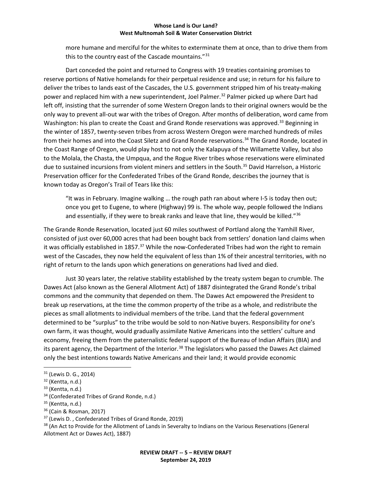more humane and merciful for the whites to exterminate them at once, than to drive them from this to the country east of the Cascade mountains."[31](#page-5-0)

Dart conceded the point and returned to Congress with 19 treaties containing promises to reserve portions of Native homelands for their perpetual residence and use; in return for his failure to deliver the tribes to lands east of the Cascades, the U.S. government stripped him of his treaty-making power and replaced him with a new superintendent, Joel Palmer. [32](#page-5-1) Palmer picked up where Dart had left off, insisting that the surrender of some Western Oregon lands to their original owners would be the only way to prevent all-out war with the tribes of Oregon. After months of deliberation, word came from Washington: his plan to create the Coast and Grand Ronde reservations was approved.<sup>[33](#page-5-2)</sup> Beginning in the winter of 1857, twenty-seven tribes from across Western Oregon were marched hundreds of miles from their homes and into the Coast Siletz and Grand Ronde reservations.<sup>[34](#page-5-3)</sup> The Grand Ronde, located in the Coast Range of Oregon, would play host to not only the Kalapuya of the Willamette Valley, but also to the Molala, the Chasta, the Umpqua, and the Rogue River tribes whose reservations were eliminated due to sustained incursions from violent miners and settlers in the South.<sup>[35](#page-5-4)</sup> David Harrelson, a Historic Preservation officer for the Confederated Tribes of the Grand Ronde, describes the journey that is known today as Oregon's Trail of Tears like this:

"It was in February. Imagine walking … the rough path ran about where I-5 is today then out; once you get to Eugene, to where (Highway) 99 is. The whole way, people followed the Indians and essentially, if they were to break ranks and leave that line, they would be killed."<sup>[36](#page-5-5)</sup>

The Grande Ronde Reservation, located just 60 miles southwest of Portland along the Yamhill River, consisted of just over 60,000 acres that had been bought back from settlers' donation land claims when it was officially established in 1857.<sup>37</sup> While the now-Confederated Tribes had won the right to remain west of the Cascades, they now held the equivalent of less than 1% of their ancestral territories, with no right of return to the lands upon which generations on generations had lived and died.

Just 30 years later, the relative stability established by the treaty system began to crumble. The Dawes Act (also known as the General Allotment Act) of 1887 disintegrated the Grand Ronde's tribal commons and the community that depended on them. The Dawes Act empowered the President to break up reservations, at the time the common property of the tribe as a whole, and redistribute the pieces as small allotments to individual members of the tribe. Land that the federal government determined to be "surplus" to the tribe would be sold to non-Native buyers. Responsibility for one's own farm, it was thought, would gradually assimilate Native Americans into the settlers' culture and economy, freeing them from the paternalistic federal support of the Bureau of Indian Affairs (BIA) and its parent agency, the Department of the Interior.<sup>[38](#page-5-7)</sup> The legislators who passed the Dawes Act claimed only the best intentions towards Native Americans and their land; it would provide economic

<span id="page-5-7"></span><sup>38</sup> (An Act to Provide for the Allotment of Lands in Severalty to Indians on the Various Reservations (General Allotment Act or Dawes Act), 1887)

<span id="page-5-0"></span> <sup>31</sup> (Lewis D. G., 2014)

<span id="page-5-1"></span> $32$  (Kentta, n.d.)

<span id="page-5-2"></span> $33$  (Kentta, n.d.)

<span id="page-5-3"></span><sup>34</sup> (Confederated Tribes of Grand Ronde, n.d.)

<span id="page-5-4"></span> $35$  (Kentta, n.d.)

<span id="page-5-5"></span><sup>36</sup> (Cain & Rosman, 2017)

<span id="page-5-6"></span><sup>37</sup> (Lewis D. , Confederated Tribes of Grand Ronde, 2019)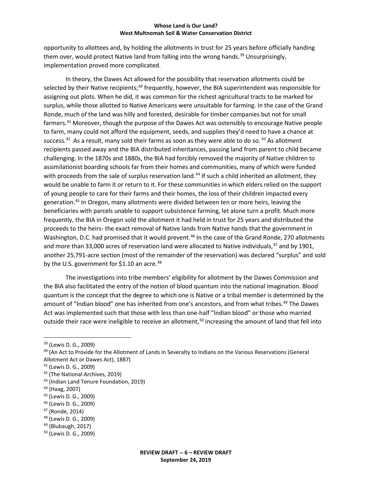opportunity to allottees and, by holding the allotments in trust for 25 years before officially handing them over, would protect Native land from falling into the wrong hands.<sup>[39](#page-6-0)</sup> Unsurprisingly, implementation proved more complicated.

In theory, the Dawes Act allowed for the possibility that reservation allotments could be selected by their Native recipients;<sup>[40](#page-6-1)</sup> frequently, however, the BIA superintendent was responsible for assigning out plots. When he did, it was common for the richest agricultural tracts to be marked for surplus, while those allotted to Native Americans were unsuitable for farming. In the case of the Grand Ronde, much of the land was hilly and forested, desirable for timber companies but not for small farmers.[41](#page-6-2) Moreover, though the purpose of the Dawes Act was ostensibly to encourage Native people to farm, many could not afford the equipment, seeds, and supplies they'd need to have a chance at success.<sup>[42](#page-6-3)</sup> As a result, many sold their farms as soon as they were able to do so.<sup>[43](#page-6-4)</sup> As allotment recipients passed away and the BIA distributed inheritances, passing land from parent to child became challenging. In the 1870s and 1880s, the BIA had forcibly removed the majority of Native children to assimilationist boarding schools far from their homes and communities, many of which were funded with proceeds from the sale of surplus reservation land.<sup>[44](#page-6-5)</sup> If such a child inherited an allotment, they would be unable to farm it or return to it. For these communities in which elders relied on the support of young people to care for their farms and their homes, the loss of their children impacted every generation.[45](#page-6-6) In Oregon, many allotments were divided between ten or more heirs, leaving the beneficiaries with parcels unable to support subsistence farming, let alone turn a profit. Much more frequently, the BIA in Oregon sold the allotment it had held in trust for 25 years and distributed the proceeds to the heirs- the exact removal of Native lands from Native hands that the government in Washington, D.C. had promised that it would prevent.<sup>[46](#page-6-7)</sup> In the case of the Grand Ronde, 270 allotments and more than 33,000 acres of reservation land were allocated to Native individuals,<sup>[47](#page-6-8)</sup> and by 1901, another 25,791-acre section (most of the remainder of the reservation) was declared "surplus" and sold by the U.S. government for \$1.10 an acre.<sup>[48](#page-6-9)</sup>

The investigations into tribe members' eligibility for allotment by the Dawes Commission and the BIA also facilitated the entry of the notion of blood quantum into the national imagination. Blood quantum is the concept that the degree to which one is Native or a tribal member is determined by the amount of "Indian blood" one has inherited from one's ancestors, and from what tribes.<sup>49</sup> The Dawes Act was implemented such that those with less than one-half "Indian blood" or those who married outside their race were ineligible to receive an allotment,<sup>[50](#page-6-11)</sup> increasing the amount of land that fell into

- <span id="page-6-7"></span><sup>46</sup> (Lewis D. G., 2009)
- <span id="page-6-8"></span><sup>47</sup> (Ronde, 2014)
- <span id="page-6-9"></span><sup>48</sup> (Lewis D. G., 2009)
- <span id="page-6-10"></span><sup>49</sup> (Blubaugh, 2017)

<span id="page-6-0"></span> <sup>39</sup> (Lewis D. G., 2009)

<span id="page-6-1"></span><sup>40</sup> (An Act to Provide for the Allotment of Lands in Severalty to Indians on the Various Reservations (General

Allotment Act or Dawes Act), 1887)

<span id="page-6-2"></span><sup>41</sup> (Lewis D. G., 2009)

<span id="page-6-3"></span><sup>42</sup> (The National Archives, 2019)

<span id="page-6-4"></span><sup>43</sup> (Indian Land Tenure Foundation, 2019)

<span id="page-6-5"></span><sup>44</sup> (Haag, 2007)

<span id="page-6-6"></span><sup>45</sup> (Lewis D. G., 2009)

<span id="page-6-11"></span><sup>50</sup> (Lewis D. G., 2009)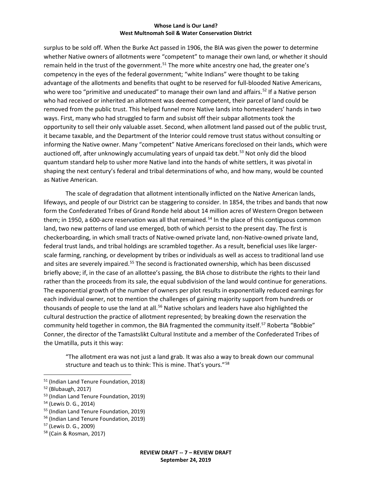surplus to be sold off. When the Burke Act passed in 1906, the BIA was given the power to determine whether Native owners of allotments were "competent" to manage their own land, or whether it should remain held in the trust of the government.<sup>51</sup> The more white ancestry one had, the greater one's competency in the eyes of the federal government; "white Indians" were thought to be taking advantage of the allotments and benefits that ought to be reserved for full-blooded Native Americans, who were too "primitive and uneducated" to manage their own land and affairs.<sup>[52](#page-7-1)</sup> If a Native person who had received or inherited an allotment was deemed competent, their parcel of land could be removed from the public trust. This helped funnel more Native lands into homesteaders' hands in two ways. First, many who had struggled to farm and subsist off their subpar allotments took the opportunity to sell their only valuable asset. Second, when allotment land passed out of the public trust, it became taxable, and the Department of the Interior could remove trust status without consulting or informing the Native owner. Many "competent" Native Americans foreclosed on their lands, which were auctioned off, after unknowingly accumulating years of unpaid tax debt.<sup>53</sup> Not only did the blood quantum standard help to usher more Native land into the hands of white settlers, it was pivotal in shaping the next century's federal and tribal determinations of who, and how many, would be counted as Native American.

The scale of degradation that allotment intentionally inflicted on the Native American lands, lifeways, and people of our District can be staggering to consider. In 1854, the tribes and bands that now form the Confederated Tribes of Grand Ronde held about 14 million acres of Western Oregon between them; in 1950, a 600-acre reservation was all that remained.<sup>[54](#page-7-3)</sup> In the place of this contiguous common land, two new patterns of land use emerged, both of which persist to the present day. The first is checkerboarding, in which small tracts of Native-owned private land, non-Native-owned private land, federal trust lands, and tribal holdings are scrambled together. As a result, beneficial uses like largerscale farming, ranching, or development by tribes or individuals as well as access to traditional land use and sites are severely impaired.<sup>[55](#page-7-4)</sup> The second is fractionated ownership, which has been discussed briefly above; if, in the case of an allottee's passing, the BIA chose to distribute the rights to their land rather than the proceeds from its sale, the equal subdivision of the land would continue for generations. The exponential growth of the number of owners per plot results in exponentially reduced earnings for each individual owner, not to mention the challenges of gaining majority support from hundreds or thousands of people to use the land at all.<sup>[56](#page-7-5)</sup> Native scholars and leaders have also highlighted the cultural destruction the practice of allotment represented; by breaking down the reservation the community held together in common, the BIA fragmented the community itself.<sup>[57](#page-7-6)</sup> Roberta "Bobbie" Conner, the director of the Tamastslikt Cultural Institute and a member of the Confederated Tribes of the Umatilla, puts it this way:

"The allotment era was not just a land grab. It was also a way to break down our communal structure and teach us to think: This is mine. That's yours."<sup>[58](#page-7-7)</sup>

<span id="page-7-0"></span> <sup>51</sup> (Indian Land Tenure Foundation, 2018)

<span id="page-7-1"></span><sup>52</sup> (Blubaugh, 2017)

<span id="page-7-2"></span><sup>53</sup> (Indian Land Tenure Foundation, 2019)

<span id="page-7-3"></span><sup>54</sup> (Lewis D. G., 2014)

<span id="page-7-4"></span><sup>55</sup> (Indian Land Tenure Foundation, 2019)

<span id="page-7-5"></span><sup>56</sup> (Indian Land Tenure Foundation, 2019)

<span id="page-7-6"></span><sup>57</sup> (Lewis D. G., 2009)

<span id="page-7-7"></span><sup>58</sup> (Cain & Rosman, 2017)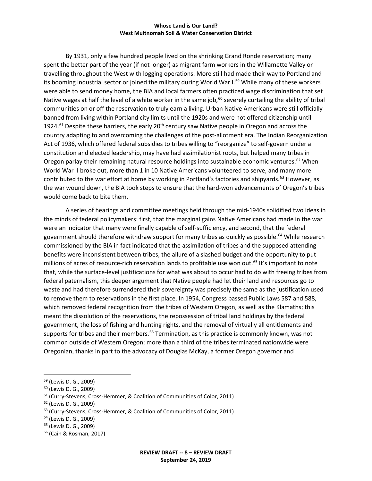By 1931, only a few hundred people lived on the shrinking Grand Ronde reservation; many spent the better part of the year (if not longer) as migrant farm workers in the Willamette Valley or travelling throughout the West with logging operations. More still had made their way to Portland and its booming industrial sector or joined the military during World War I.<sup>59</sup> While many of these workers were able to send money home, the BIA and local farmers often practiced wage discrimination that set Native wages at half the level of a white worker in the same job,  $60$  severely curtailing the ability of tribal communities on or off the reservation to truly earn a living. Urban Native Americans were still officially banned from living within Portland city limits until the 1920s and were not offered citizenship until 1924.<sup>[61](#page-8-2)</sup> Despite these barriers, the early  $20<sup>th</sup>$  century saw Native people in Oregon and across the country adapting to and overcoming the challenges of the post-allotment era. The Indian Reorganization Act of 1936, which offered federal subsidies to tribes willing to "reorganize" to self-govern under a constitution and elected leadership, may have had assimilationist roots, but helped many tribes in Oregon parlay their remaining natural resource holdings into sustainable economic ventures.<sup>[62](#page-8-3)</sup> When World War II broke out, more than 1 in 10 Native Americans volunteered to serve, and many more contributed to the war effort at home by working in Portland's factories and shipyards.<sup>[63](#page-8-4)</sup> However, as the war wound down, the BIA took steps to ensure that the hard-won advancements of Oregon's tribes would come back to bite them.

A series of hearings and committee meetings held through the mid-1940s solidified two ideas in the minds of federal policymakers: first, that the marginal gains Native Americans had made in the war were an indicator that many were finally capable of self-sufficiency, and second, that the federal government should therefore withdraw support for many tribes as quickly as possible.<sup>[64](#page-8-5)</sup> While research commissioned by the BIA in fact indicated that the assimilation of tribes and the supposed attending benefits were inconsistent between tribes, the allure of a slashed budget and the opportunity to put millions of acres of resource-rich reservation lands to profitable use won out.<sup>[65](#page-8-6)</sup> It's important to note that, while the surface-level justifications for what was about to occur had to do with freeing tribes from federal paternalism, this deeper argument that Native people had let their land and resources go to waste and had therefore surrendered their sovereignty was precisely the same as the justification used to remove them to reservations in the first place. In 1954, Congress passed Public Laws 587 and 588, which removed federal recognition from the tribes of Western Oregon, as well as the Klamaths; this meant the dissolution of the reservations, the repossession of tribal land holdings by the federal government, the loss of fishing and hunting rights, and the removal of virtually all entitlements and supports for tribes and their members.<sup>[66](#page-8-7)</sup> Termination, as this practice is commonly known, was not common outside of Western Oregon; more than a third of the tribes terminated nationwide were Oregonian, thanks in part to the advocacy of Douglas McKay, a former Oregon governor and

<span id="page-8-3"></span><sup>62</sup> (Lewis D. G., 2009)

<span id="page-8-0"></span> <sup>59</sup> (Lewis D. G., 2009)

<span id="page-8-1"></span><sup>60</sup> (Lewis D. G., 2009)

<span id="page-8-2"></span><sup>61</sup> (Curry-Stevens, Cross-Hemmer, & Coalition of Communities of Color, 2011)

<span id="page-8-4"></span><sup>&</sup>lt;sup>63</sup> (Curry-Stevens, Cross-Hemmer, & Coalition of Communities of Color, 2011)

<span id="page-8-5"></span><sup>64</sup> (Lewis D. G., 2009)

<span id="page-8-6"></span><sup>65</sup> (Lewis D. G., 2009)

<span id="page-8-7"></span><sup>66</sup> (Cain & Rosman, 2017)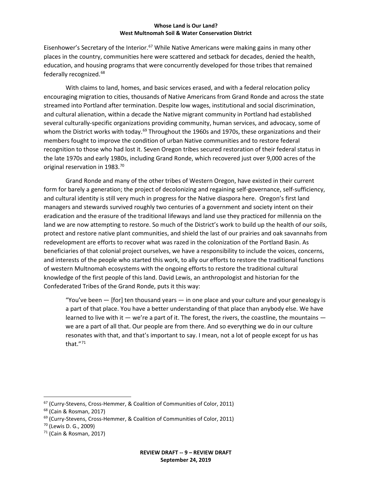Eisenhower's Secretary of the Interior.<sup>[67](#page-9-0)</sup> While Native Americans were making gains in many other places in the country, communities here were scattered and setback for decades, denied the health, education, and housing programs that were concurrently developed for those tribes that remained federally recognized.[68](#page-9-1)

With claims to land, homes, and basic services erased, and with a federal relocation policy encouraging migration to cities, thousands of Native Americans from Grand Ronde and across the state streamed into Portland after termination. Despite low wages, institutional and social discrimination, and cultural alienation, within a decade the Native migrant community in Portland had established several culturally-specific organizations providing community, human services, and advocacy, some of whom the District works with today.<sup>[69](#page-9-2)</sup> Throughout the 1960s and 1970s, these organizations and their members fought to improve the condition of urban Native communities and to restore federal recognition to those who had lost it. Seven Oregon tribes secured restoration of their federal status in the late 1970s and early 1980s, including Grand Ronde, which recovered just over 9,000 acres of the original reservation in 1983.<sup>[70](#page-9-3)</sup>

Grand Ronde and many of the other tribes of Western Oregon, have existed in their current form for barely a generation; the project of decolonizing and regaining self-governance, self-sufficiency, and cultural identity is still very much in progress for the Native diaspora here. Oregon's first land managers and stewards survived roughly two centuries of a government and society intent on their eradication and the erasure of the traditional lifeways and land use they practiced for millennia on the land we are now attempting to restore. So much of the District's work to build up the health of our soils, protect and restore native plant communities, and shield the last of our prairies and oak savannahs from redevelopment are efforts to recover what was razed in the colonization of the Portland Basin. As beneficiaries of that colonial project ourselves, we have a responsibility to include the voices, concerns, and interests of the people who started this work, to ally our efforts to restore the traditional functions of western Multnomah ecosystems with the ongoing efforts to restore the traditional cultural knowledge of the first people of this land. David Lewis, an anthropologist and historian for the Confederated Tribes of the Grand Ronde, puts it this way:

"You've been  $-$  [for] ten thousand years  $-$  in one place and your culture and your genealogy is a part of that place. You have a better understanding of that place than anybody else. We have learned to live with it  $-$  we're a part of it. The forest, the rivers, the coastline, the mountains  $$ we are a part of all that. Our people are from there. And so everything we do in our culture resonates with that, and that's important to say. I mean, not a lot of people except for us has that."[71](#page-9-4)

<span id="page-9-0"></span> <sup>67</sup> (Curry-Stevens, Cross-Hemmer, & Coalition of Communities of Color, 2011)

<span id="page-9-1"></span><sup>68</sup> (Cain & Rosman, 2017)

<span id="page-9-2"></span><sup>&</sup>lt;sup>69</sup> (Curry-Stevens, Cross-Hemmer, & Coalition of Communities of Color, 2011)

<span id="page-9-3"></span><sup>70</sup> (Lewis D. G., 2009)

<span id="page-9-4"></span> $71$  (Cain & Rosman, 2017)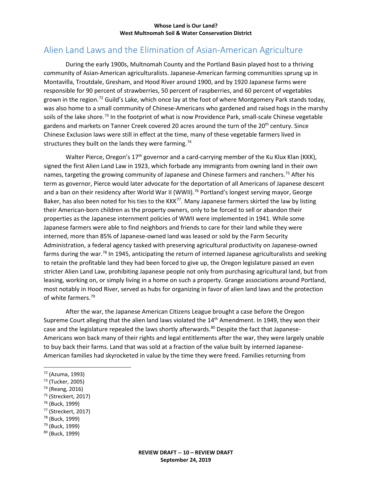## Alien Land Laws and the Elimination of Asian-American Agriculture

During the early 1900s, Multnomah County and the Portland Basin played host to a thriving community of Asian-American agriculturalists. Japanese-American farming communities sprung up in Montavilla, Troutdale, Gresham, and Hood River around 1900, and by 1920 Japanese farms were responsible for 90 percent of strawberries, 50 percent of raspberries, and 60 percent of vegetables grown in the region.<sup>[72](#page-10-0)</sup> Guild's Lake, which once lay at the foot of where Montgomery Park stands today, was also home to a small community of Chinese-Americans who gardened and raised hogs in the marshy soils of the lake shore.<sup>[73](#page-10-1)</sup> In the footprint of what is now Providence Park, small-scale Chinese vegetable gardens and markets on Tanner Creek covered 20 acres around the turn of the 20<sup>th</sup> century. Since Chinese Exclusion laws were still in effect at the time, many of these vegetable farmers lived in structures they built on the lands they were farming.<sup>[74](#page-10-2)</sup>

Walter Pierce, Oregon's  $17<sup>th</sup>$  governor and a card-carrying member of the Ku Klux Klan (KKK), signed the first Alien Land Law in 1923, which forbade any immigrants from owning land in their own names, targeting the growing community of Japanese and Chinese farmers and ranchers.<sup>[75](#page-10-3)</sup> After his term as governor, Pierce would later advocate for the deportation of all Americans of Japanese descent and a ban on their residency after World War II (WWII).<sup>[76](#page-10-4)</sup> Portland's longest serving mayor, George Baker, has also been noted for his ties to the KKK<sup>[77](#page-10-5)</sup>. Many Japanese farmers skirted the law by listing their American-born children as the property owners, only to be forced to sell or abandon their properties as the Japanese internment policies of WWII were implemented in 1941. While some Japanese farmers were able to find neighbors and friends to care for their land while they were interned, more than 85% of Japanese-owned land was leased or sold by the Farm Security Administration, a federal agency tasked with preserving agricultural productivity on Japanese-owned farms during the war.<sup>[78](#page-10-6)</sup> In 1945, anticipating the return of interned Japanese agriculturalists and seeking to retain the profitable land they had been forced to give up, the Oregon legislature passed an even stricter Alien Land Law, prohibiting Japanese people not only from purchasing agricultural land, but from leasing, working on, or simply living in a home on such a property. Grange associations around Portland, most notably in Hood River, served as hubs for organizing in favor of alien land laws and the protection of white farmers.<sup>[79](#page-10-7)</sup>

After the war, the Japanese American Citizens League brought a case before the Oregon Supreme Court alleging that the alien land laws violated the 14<sup>th</sup> Amendment. In 1949, they won their case and the legislature repealed the laws shortly afterwards.<sup>[80](#page-10-8)</sup> Despite the fact that Japanese-Americans won back many of their rights and legal entitlements after the war, they were largely unable to buy back their farms. Land that was sold at a fraction of the value built by interned Japanese-American families had skyrocketed in value by the time they were freed. Families returning from

- <span id="page-10-1"></span><sup>73</sup> (Tucker, 2005)
- <span id="page-10-2"></span><sup>74</sup> (Reang, 2016)
- <span id="page-10-3"></span><sup>75</sup> (Streckert, 2017)
- <span id="page-10-4"></span><sup>76</sup> (Buck, 1999)
- <span id="page-10-5"></span><sup>77</sup> (Streckert, 2017)
- <span id="page-10-6"></span><sup>78</sup> (Buck, 1999)
- <span id="page-10-7"></span><sup>79</sup> (Buck, 1999)
- <span id="page-10-8"></span><sup>80</sup> (Buck, 1999)

<span id="page-10-0"></span> <sup>72</sup> (Azuma, 1993)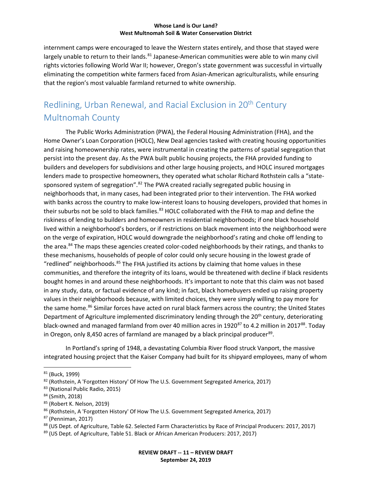internment camps were encouraged to leave the Western states entirely, and those that stayed were largely unable to return to their lands.<sup>[81](#page-11-0)</sup> Japanese-American communities were able to win many civil rights victories following World War II; however, Oregon's state government was successful in virtually eliminating the competition white farmers faced from Asian-American agriculturalists, while ensuring that the region's most valuable farmland returned to white ownership.

## Redlining, Urban Renewal, and Racial Exclusion in 20th Century Multnomah County

The Public Works Administration (PWA), the Federal Housing Administration (FHA), and the Home Owner's Loan Corporation (HOLC), New Deal agencies tasked with creating housing opportunities and raising homeownership rates, were instrumental in creating the patterns of spatial segregation that persist into the present day. As the PWA built public housing projects, the FHA provided funding to builders and developers for subdivisions and other large housing projects, and HOLC insured mortgages lenders made to prospective homeowners, they operated what scholar Richard Rothstein calls a "state-sponsored system of segregation".<sup>[82](#page-11-1)</sup> The PWA created racially segregated public housing in neighborhoods that, in many cases, had been integrated prior to their intervention. The FHA worked with banks across the country to make low-interest loans to housing developers, provided that homes in their suburbs not be sold to black families.<sup>[83](#page-11-2)</sup> HOLC collaborated with the FHA to map and define the riskiness of lending to builders and homeowners in residential neighborhoods; if one black household lived within a neighborhood's borders, or if restrictions on black movement into the neighborhood were on the verge of expiration, HOLC would downgrade the neighborhood's rating and choke off lending to the area.<sup>[84](#page-11-3)</sup> The maps these agencies created color-coded neighborhoods by their ratings, and thanks to these mechanisms, households of people of color could only secure housing in the lowest grade of "redlined" neighborhoods.<sup>[85](#page-11-4)</sup> The FHA justified its actions by claiming that home values in these communities, and therefore the integrity of its loans, would be threatened with decline if black residents bought homes in and around these neighborhoods. It's important to note that this claim was not based in any study, data, or factual evidence of any kind; in fact, black homebuyers ended up raising property values in their neighborhoods because, with limited choices, they were simply willing to pay more for the same home.<sup>[86](#page-11-5)</sup> Similar forces have acted on rural black farmers across the country; the United States Department of Agriculture implemented discriminatory lending through the 20<sup>th</sup> century, deteriorating black-owned and managed farmland from over 40 million acres in 1920<sup>[87](#page-11-6)</sup> to 4.2 million in 2017<sup>88</sup>. Today in Oregon, only 8,450 acres of farmland are managed by a black principal producer<sup>89</sup>.

In Portland's spring of 1948, a devastating Columbia River flood struck Vanport, the massive integrated housing project that the Kaiser Company had built for its shipyard employees, many of whom

<span id="page-11-0"></span> <sup>81</sup> (Buck, 1999)

<span id="page-11-1"></span><sup>82</sup> (Rothstein, A 'Forgotten History' Of How The U.S. Government Segregated America, 2017)

<span id="page-11-2"></span><sup>83</sup> (National Public Radio, 2015)

<span id="page-11-3"></span><sup>84</sup> (Smith, 2018)

<span id="page-11-4"></span><sup>85</sup> (Robert K. Nelson, 2019)

<span id="page-11-5"></span><sup>86</sup> (Rothstein, A 'Forgotten History' Of How The U.S. Government Segregated America, 2017)

<span id="page-11-6"></span><sup>87</sup> (Penniman, 2017)

<span id="page-11-7"></span><sup>88 (</sup>US Dept. of Agriculture, Table 62. Selected Farm Characteristics by Race of Principal Producers: 2017, 2017)

<span id="page-11-8"></span><sup>89 (</sup>US Dept. of Agriculture, Table 51. Black or African American Producers: 2017, 2017)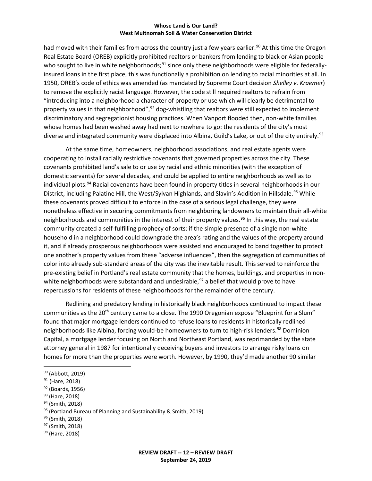had moved with their families from across the country just a few years earlier.<sup>[90](#page-12-0)</sup> At this time the Oregon Real Estate Board (OREB) explicitly prohibited realtors or bankers from lending to black or Asian people who sought to live in white neighborhoods;<sup>[91](#page-12-1)</sup> since only these neighborhoods were eligible for federallyinsured loans in the first place, this was functionally a prohibition on lending to racial minorities at all. In 1950, OREB's code of ethics was amended (as mandated by Supreme Court decision *Shelley v. Kraemer*) to remove the explicitly racist language. However, the code still required realtors to refrain from "introducing into a neighborhood a character of property or use which will clearly be detrimental to property values in that neighborhood",<sup>[92](#page-12-2)</sup> dog-whistling that realtors were still expected to implement discriminatory and segregationist housing practices. When Vanport flooded then, non-white families whose homes had been washed away had next to nowhere to go: the residents of the city's most diverse and integrated community were displaced into Albina, Guild's Lake, or out of the city entirely.<sup>[93](#page-12-3)</sup>

At the same time, homeowners, neighborhood associations, and real estate agents were cooperating to install racially restrictive covenants that governed properties across the city. These covenants prohibited land's sale to or use by racial and ethnic minorities (with the exception of domestic servants) for several decades, and could be applied to entire neighborhoods as well as to individual plots.<sup>[94](#page-12-4)</sup> Racial covenants have been found in property titles in several neighborhoods in our District, including Palatine Hill, the West/Sylvan Highlands, and Slavin's Addition in Hillsdale.<sup>[95](#page-12-5)</sup> While these covenants proved difficult to enforce in the case of a serious legal challenge, they were nonetheless effective in securing commitments from neighboring landowners to maintain their all-white neighborhoods and communities in the interest of their property values.<sup>[96](#page-12-6)</sup> In this way, the real estate community created a self-fulfilling prophecy of sorts: if the simple presence of a single non-white household in a neighborhood could downgrade the area's rating and the values of the property around it, and if already prosperous neighborhoods were assisted and encouraged to band together to protect one another's property values from these "adverse influences", then the segregation of communities of color into already sub-standard areas of the city was the inevitable result. This served to reinforce the pre-existing belief in Portland's real estate community that the homes, buildings, and properties in non-white neighborhoods were substandard and undesirable,<sup>[97](#page-12-7)</sup> a belief that would prove to have repercussions for residents of these neighborhoods for the remainder of the century.

Redlining and predatory lending in historically black neighborhoods continued to impact these communities as the 20<sup>th</sup> century came to a close. The 1990 Oregonian expose "Blueprint for a Slum" found that major mortgage lenders continued to refuse loans to residents in historically redlined neighborhoods like Albina, forcing would-be homeowners to turn to high-risk lenders.<sup>[98](#page-12-8)</sup> Dominion Capital, a mortgage lender focusing on North and Northeast Portland, was reprimanded by the state attorney general in 1987 for intentionally deceiving buyers and investors to arrange risky loans on homes for more than the properties were worth. However, by 1990, they'd made another 90 similar

<span id="page-12-1"></span><sup>91</sup> (Hare, 2018)

- <span id="page-12-3"></span><sup>93</sup> (Hare, 2018)
- <span id="page-12-4"></span><sup>94</sup> (Smith, 2018)

- <span id="page-12-6"></span><sup>96</sup> (Smith, 2018)
- <span id="page-12-7"></span><sup>97</sup> (Smith, 2018)

<span id="page-12-0"></span> <sup>90</sup> (Abbott, 2019)

<span id="page-12-2"></span><sup>92</sup> (Boards, 1956)

<span id="page-12-5"></span><sup>95 (</sup>Portland Bureau of Planning and Sustainability & Smith, 2019)

<span id="page-12-8"></span><sup>98</sup> (Hare, 2018)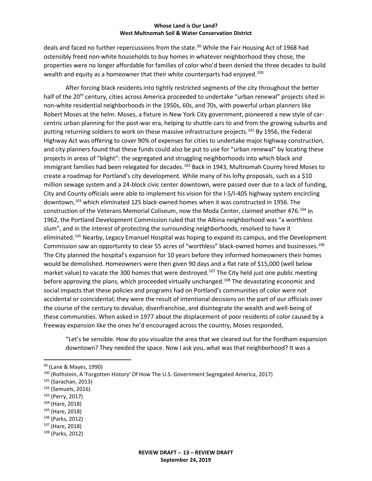deals and faced no further repercussions from the state.<sup>[99](#page-13-0)</sup> While the Fair Housing Act of 1968 had ostensibly freed non-white households to buy homes in whatever neighborhood they chose, the properties were no longer affordable for families of color who'd been denied the three decades to build wealth and equity as a homeowner that their white counterparts had enjoyed.<sup>[100](#page-13-1)</sup>

After forcing black residents into tightly restricted segments of the city throughout the better half of the 20<sup>th</sup> century, cities across America proceeded to undertake "urban renewal" projects sited in non-white residential neighborhoods in the 1950s, 60s, and 70s, with powerful urban planners like Robert Moses at the helm. Moses, a fixture in New York City government, pioneered a new style of carcentric urban planning for the post-war era, helping to shuttle cars to and from the growing suburbs and putting returning soldiers to work on these massive infrastructure projects.<sup>[101](#page-13-2)</sup> By 1956, the Federal Highway Act was offering to cover 90% of expenses for cities to undertake major highway construction, and city planners found that these funds could also be put to use for "urban renewal" by locating these projects in areas of "blight": the segregated and struggling neighborhoods into which black and immigrant families had been relegated for decades.<sup>[102](#page-13-3)</sup> Back in 1943, Multnomah County hired Moses to create a roadmap for Portland's city development. While many of his lofty proposals, such as a \$10 million sewage system and a 24-block civic center downtown, were passed over due to a lack of funding, City and County officials were able to implement his vision for the I-5/I-405 highway system encircling downtown,[103](#page-13-4) which eliminated 125 black-owned homes when it was constructed in 1956. The construction of the Veterans Memorial Coliseum, now the Moda Center, claimed another 476.[104](#page-13-5) In 1962, the Portland Development Commission ruled that the Albina neighborhood was "a worthless slum", and in the interest of protecting the surrounding neighborhoods, resolved to have it eliminated.<sup>[105](#page-13-6)</sup> Nearby, Legacy Emanuel Hospital was hoping to expand its campus, and the Development Commission saw an opportunity to clear 55 acres of "worthless" black-owned homes and businesses.<sup>[106](#page-13-7)</sup> The City planned the hospital's expansion for 10 years before they informed homeowners their homes would be demolished. Homeowners were then given 90 days and a flat rate of \$15,000 (well below market value) to vacate the 300 homes that were destroyed.<sup>[107](#page-13-8)</sup> The City held just one public meeting before approving the plans, which proceeded virtually unchanged.<sup>[108](#page-13-9)</sup> The devastating economic and social impacts that these policies and programs had on Portland's communities of color were not accidental or coincidental; they were the result of intentional decisions on the part of our officials over the course of the century to devalue, disenfranchise, and disintegrate the wealth and well-being of these communities. When asked in 1977 about the displacement of poor residents of color caused by a freeway expansion like the ones he'd encouraged across the country, Moses responded,

"Let's be sensible. How do you visualize the area that we cleared out for the Fordham expansion downtown? They needed the space. Now I ask you, what was that neighborhood? It was a

- <span id="page-13-4"></span><sup>103</sup> (Perry, 2017)
- <span id="page-13-5"></span><sup>104</sup> (Hare, 2018)
- <span id="page-13-6"></span><sup>105</sup> (Hare, 2018)
- <span id="page-13-7"></span><sup>106</sup> (Parks, 2012)
- <span id="page-13-8"></span><sup>107</sup> (Hare, 2018)
- <span id="page-13-9"></span><sup>108</sup> (Parks, 2012)

<span id="page-13-0"></span> <sup>99</sup> (Lane & Mayes, 1990)

<span id="page-13-1"></span><sup>100</sup> (Rothstein, A 'Forgotten History' Of How The U.S. Government Segregated America, 2017)

<span id="page-13-2"></span><sup>101</sup> (Sarachan, 2013)

<span id="page-13-3"></span><sup>102</sup> (Semuels, 2016)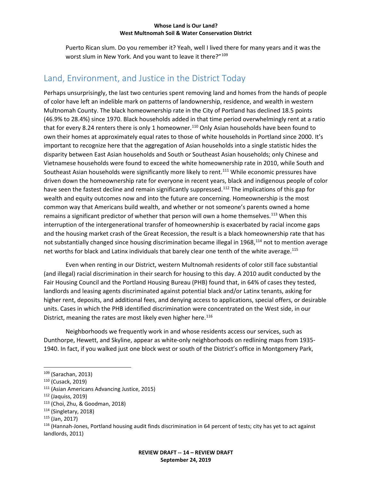Puerto Rican slum. Do you remember it? Yeah, well I lived there for many years and it was the worst slum in New York. And you want to leave it there?"<sup>[109](#page-14-0)</sup>

### Land, Environment, and Justice in the District Today

Perhaps unsurprisingly, the last two centuries spent removing land and homes from the hands of people of color have left an indelible mark on patterns of landownership, residence, and wealth in western Multnomah County. The black homeownership rate in the City of Portland has declined 18.5 points (46.9% to 28.4%) since 1970. Black households added in that time period overwhelmingly rent at a ratio that for every 8.24 renters there is only 1 homeowner.<sup>[110](#page-14-1)</sup> Only Asian households have been found to own their homes at approximately equal rates to those of white households in Portland since 2000. It's important to recognize here that the aggregation of Asian households into a single statistic hides the disparity between East Asian households and South or Southeast Asian households; only Chinese and Vietnamese households were found to exceed the white homeownership rate in 2010, while South and Southeast Asian households were significantly more likely to rent.<sup>[111](#page-14-2)</sup> While economic pressures have driven down the homeownership rate for everyone in recent years, black and indigenous people of color have seen the fastest decline and remain significantly suppressed.<sup>[112](#page-14-3)</sup> The implications of this gap for wealth and equity outcomes now and into the future are concerning. Homeownership is the most common way that Americans build wealth, and whether or not someone's parents owned a home remains a significant predictor of whether that person will own a home themselves.<sup>[113](#page-14-4)</sup> When this interruption of the intergenerational transfer of homeownership is exacerbated by racial income gaps and the housing market crash of the Great Recession, the result is a black homeownership rate that has not substantially changed since housing discrimination became illegal in 1968,<sup>[114](#page-14-5)</sup> not to mention average net worths for black and Latinx individuals that barely clear one tenth of the white average.<sup>[115](#page-14-6)</sup>

Even when renting in our District, western Multnomah residents of color still face substantial (and illegal) racial discrimination in their search for housing to this day. A 2010 audit conducted by the Fair Housing Council and the Portland Housing Bureau (PHB) found that, in 64% of cases they tested, landlords and leasing agents discriminated against potential black and/or Latinx tenants, asking for higher rent, deposits, and additional fees, and denying access to applications, special offers, or desirable units. Cases in which the PHB identified discrimination were concentrated on the West side, in our District, meaning the rates are most likely even higher here.<sup>[116](#page-14-7)</sup>

Neighborhoods we frequently work in and whose residents access our services, such as Dunthorpe, Hewett, and Skyline, appear as white-only neighborhoods on redlining maps from 1935- 1940. In fact, if you walked just one block west or south of the District's office in Montgomery Park,

<span id="page-14-0"></span> <sup>109</sup> (Sarachan, 2013)

<span id="page-14-1"></span><sup>110</sup> (Cusack, 2019)

<span id="page-14-2"></span><sup>111</sup> (Asian Americans Advancing Justice, 2015)

<span id="page-14-3"></span><sup>112</sup> (Jaquiss, 2019)

<span id="page-14-4"></span><sup>113</sup> (Choi, Zhu, & Goodman, 2018)

<span id="page-14-5"></span><sup>114</sup> (Singletary, 2018)

<span id="page-14-6"></span><sup>115</sup> (Jan, 2017)

<span id="page-14-7"></span> $116$  (Hannah-Jones, Portland housing audit finds discrimination in 64 percent of tests; city has yet to act against landlords, 2011)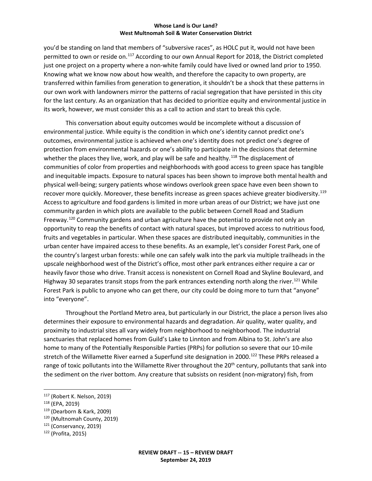you'd be standing on land that members of "subversive races", as HOLC put it, would not have been permitted to own or reside on.<sup>[117](#page-15-0)</sup> According to our own Annual Report for 2018, the District completed just one project on a property where a non-white family could have lived or owned land prior to 1950. Knowing what we know now about how wealth, and therefore the capacity to own property, are transferred within families from generation to generation, it shouldn't be a shock that these patterns in our own work with landowners mirror the patterns of racial segregation that have persisted in this city for the last century. As an organization that has decided to prioritize equity and environmental justice in its work, however, we must consider this as a call to action and start to break this cycle.

This conversation about equity outcomes would be incomplete without a discussion of environmental justice. While equity is the condition in which one's identity cannot predict one's outcomes, environmental justice is achieved when one's identity does not predict one's degree of protection from environmental hazards or one's ability to participate in the decisions that determine whether the places they live, work, and play will be safe and healthy.<sup>[118](#page-15-1)</sup> The displacement of communities of color from properties and neighborhoods with good access to green space has tangible and inequitable impacts. Exposure to natural spaces has been shown to improve both mental health and physical well-being; surgery patients whose windows overlook green space have even been shown to recover more quickly. Moreover, these benefits increase as green spaces achieve greater biodiversity.<sup>[119](#page-15-2)</sup> Access to agriculture and food gardens is limited in more urban areas of our District; we have just one community garden in which plots are available to the public between Cornell Road and Stadium Freeway.<sup>[120](#page-15-3)</sup> Community gardens and urban agriculture have the potential to provide not only an opportunity to reap the benefits of contact with natural spaces, but improved access to nutritious food, fruits and vegetables in particular. When these spaces are distributed inequitably, communities in the urban center have impaired access to these benefits. As an example, let's consider Forest Park, one of the country's largest urban forests: while one can safely walk into the park via multiple trailheads in the upscale neighborhood west of the District's office, most other park entrances either require a car or heavily favor those who drive. Transit access is nonexistent on Cornell Road and Skyline Boulevard, and Highway 30 separates transit stops from the park entrances extending north along the river.<sup>[121](#page-15-4)</sup> While Forest Park is public to anyone who can get there, our city could be doing more to turn that "anyone" into "everyone".

Throughout the Portland Metro area, but particularly in our District, the place a person lives also determines their exposure to environmental hazards and degradation. Air quality, water quality, and proximity to industrial sites all vary widely from neighborhood to neighborhood. The industrial sanctuaries that replaced homes from Guild's Lake to Linnton and from Albina to St. John's are also home to many of the Potentially Responsible Parties (PRPs) for pollution so severe that our 10-mile stretch of the Willamette River earned a Superfund site designation in 2000.<sup>[122](#page-15-5)</sup> These PRPs released a range of toxic pollutants into the Willamette River throughout the 20<sup>th</sup> century, pollutants that sank into the sediment on the river bottom. Any creature that subsists on resident (non-migratory) fish, from

<span id="page-15-0"></span> <sup>117</sup> (Robert K. Nelson, 2019)

<span id="page-15-1"></span><sup>118</sup> (EPA, 2019)

<span id="page-15-2"></span><sup>119</sup> (Dearborn & Kark, 2009)

<span id="page-15-3"></span><sup>120</sup> (Multnomah County, 2019)

<span id="page-15-4"></span> $121$  (Conservancy, 2019)

<span id="page-15-5"></span><sup>122</sup> (Profita, 2015)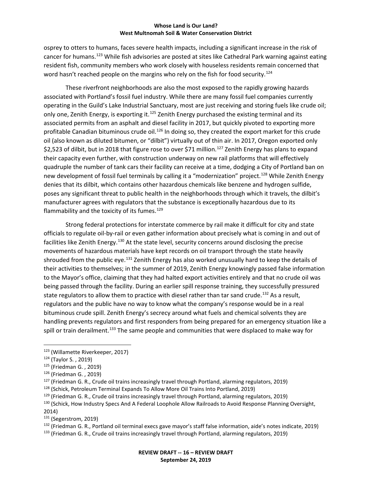osprey to otters to humans, faces severe health impacts, including a significant increase in the risk of cancer for humans.<sup>[123](#page-16-0)</sup> While fish advisories are posted at sites like Cathedral Park warning against eating resident fish, community members who work closely with houseless residents remain concerned that word hasn't reached people on the margins who rely on the fish for food security.<sup>[124](#page-16-1)</sup>

These riverfront neighborhoods are also the most exposed to the rapidly growing hazards associated with Portland's fossil fuel industry. While there are many fossil fuel companies currently operating in the Guild's Lake Industrial Sanctuary, most are just receiving and storing fuels like crude oil; only one, Zenith Energy, is exporting it.<sup>[125](#page-16-2)</sup> Zenith Energy purchased the existing terminal and its associated permits from an asphalt and diesel facility in 2017, but quickly pivoted to exporting more profitable Canadian bituminous crude oil.<sup>[126](#page-16-3)</sup> In doing so, they created the export market for this crude oil (also known as diluted bitumen, or "dilbit") virtually out of thin air. In 2017, Oregon exported only \$2,523 of dilbit, but in 2018 that figure rose to over \$71 million.<sup>[127](#page-16-4)</sup> Zenith Energy has plans to expand their capacity even further, with construction underway on new rail platforms that will effectively quadruple the number of tank cars their facility can receive at a time, dodging a City of Portland ban on new development of fossil fuel terminals by calling it a "modernization" project.<sup>[128](#page-16-5)</sup> While Zenith Energy denies that its dilbit, which contains other hazardous chemicals like benzene and hydrogen sulfide, poses any significant threat to public health in the neighborhoods through which it travels, the dilbit's manufacturer agrees with regulators that the substance is exceptionally hazardous due to its flammability and the toxicity of its fumes. $129$ 

Strong federal protections for interstate commerce by rail make it difficult for city and state officials to regulate oil-by-rail or even gather information about precisely what is coming in and out of facilities like Zenith Energy.<sup>[130](#page-16-7)</sup> At the state level, security concerns around disclosing the precise movements of hazardous materials have kept records on oil transport through the state heavily shrouded from the public eye.<sup>131</sup> Zenith Energy has also worked unusually hard to keep the details of their activities to themselves; in the summer of 2019, Zenith Energy knowingly passed false information to the Mayor's office, claiming that they had halted export activities entirely and that no crude oil was being passed through the facility. During an earlier spill response training, they successfully pressured state regulators to allow them to practice with diesel rather than tar sand crude.<sup>[132](#page-16-9)</sup> As a result, regulators and the public have no way to know what the company's response would be in a real bituminous crude spill. Zenith Energy's secrecy around what fuels and chemical solvents they are handling prevents regulators and first responders from being prepared for an emergency situation like a spill or train derailment.<sup>[133](#page-16-10)</sup> The same people and communities that were displaced to make way for

<span id="page-16-0"></span> <sup>123</sup> (Willamette Riverkeeper, 2017)

<span id="page-16-1"></span><sup>124</sup> (Taylor S. , 2019)

<span id="page-16-2"></span><sup>125</sup> (Friedman G. , 2019)

<span id="page-16-3"></span><sup>126</sup> (Friedman G. , 2019)

<span id="page-16-4"></span> $127$  (Friedman G. R., Crude oil trains increasingly travel through Portland, alarming regulators, 2019)

<span id="page-16-5"></span><sup>128</sup> (Schick, Petroleum Terminal Expands To Allow More Oil Trains Into Portland, 2019)

<span id="page-16-6"></span> $129$  (Friedman G. R., Crude oil trains increasingly travel through Portland, alarming regulators, 2019)

<span id="page-16-7"></span><sup>&</sup>lt;sup>130</sup> (Schick, How Industry Specs And A Federal Loophole Allow Railroads to Avoid Response Planning Oversight,

<sup>2014)</sup>

<span id="page-16-8"></span><sup>&</sup>lt;sup>131</sup> (Segerstrom, 2019)

<span id="page-16-9"></span><sup>132</sup> (Friedman G. R., Portland oil terminal execs gave mayor's staff false information, aide's notes indicate, 2019)

<span id="page-16-10"></span><sup>133 (</sup>Friedman G. R., Crude oil trains increasingly travel through Portland, alarming regulators, 2019)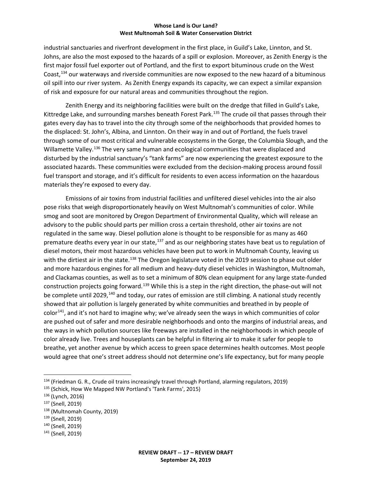industrial sanctuaries and riverfront development in the first place, in Guild's Lake, Linnton, and St. Johns, are also the most exposed to the hazards of a spill or explosion. Moreover, as Zenith Energy is the first major fossil fuel exporter out of Portland, and the first to export bituminous crude on the West Coast,[134](#page-17-0) our waterways and riverside communities are now exposed to the new hazard of a bituminous oil spill into our river system. As Zenith Energy expands its capacity, we can expect a similar expansion of risk and exposure for our natural areas and communities throughout the region.

Zenith Energy and its neighboring facilities were built on the dredge that filled in Guild's Lake, Kittredge Lake, and surrounding marshes beneath Forest Park.<sup>[135](#page-17-1)</sup> The crude oil that passes through their gates every day has to travel into the city through some of the neighborhoods that provided homes to the displaced: St. John's, Albina, and Linnton. On their way in and out of Portland, the fuels travel through some of our most critical and vulnerable ecosystems in the Gorge, the Columbia Slough, and the Willamette Valley.<sup>[136](#page-17-2)</sup> The very same human and ecological communities that were displaced and disturbed by the industrial sanctuary's "tank farms" are now experiencing the greatest exposure to the associated hazards. These communities were excluded from the decision-making process around fossil fuel transport and storage, and it's difficult for residents to even access information on the hazardous materials they're exposed to every day.

Emissions of air toxins from industrial facilities and unfiltered diesel vehicles into the air also pose risks that weigh disproportionately heavily on West Multnomah's communities of color. While smog and soot are monitored by Oregon Department of Environmental Quality, which will release an advisory to the public should parts per million cross a certain threshold, other air toxins are not regulated in the same way. Diesel pollution alone is thought to be responsible for as many as 460 premature deaths every year in our state,<sup>[137](#page-17-3)</sup> and as our neighboring states have beat us to regulation of diesel motors, their most hazardous vehicles have been put to work in Multnomah County, leaving us with the dirtiest air in the state.<sup>[138](#page-17-4)</sup> The Oregon legislature voted in the 2019 session to phase out older and more hazardous engines for all medium and heavy-duty diesel vehicles in Washington, Multnomah, and Clackamas counties, as well as to set a minimum of 80% clean equipment for any large state-funded construction projects going forward.<sup>[139](#page-17-5)</sup> While this is a step in the right direction, the phase-out will not be complete until 2029,<sup>[140](#page-17-6)</sup> and today, our rates of emission are still climbing. A national study recently showed that air pollution is largely generated by white communities and breathed in by people of color<sup>141</sup>, and it's not hard to imagine why; we've already seen the ways in which communities of color are pushed out of safer and more desirable neighborhoods and onto the margins of industrial areas, and the ways in which pollution sources like freeways are installed in the neighborhoods in which people of color already live. Trees and houseplants can be helpful in filtering air to make it safer for people to breathe, yet another avenue by which access to green space determines health outcomes. Most people would agree that one's street address should not determine one's life expectancy, but for many people

<span id="page-17-0"></span> <sup>134</sup> (Friedman G. R., Crude oil trains increasingly travel through Portland, alarming regulators, 2019)

<span id="page-17-1"></span><sup>135</sup> (Schick, How We Mapped NW Portland's 'Tank Farms', 2015)

<span id="page-17-2"></span><sup>136</sup> (Lynch, 2016)

<span id="page-17-3"></span><sup>137</sup> (Snell, 2019)

<span id="page-17-4"></span><sup>138</sup> (Multnomah County, 2019)

<span id="page-17-5"></span><sup>139</sup> (Snell, 2019)

<span id="page-17-6"></span><sup>140</sup> (Snell, 2019)

<span id="page-17-7"></span><sup>141</sup> (Snell, 2019)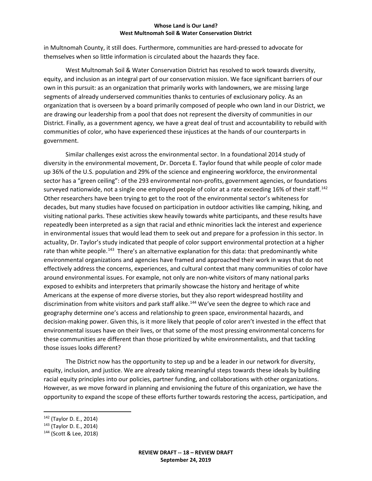in Multnomah County, it still does. Furthermore, communities are hard-pressed to advocate for themselves when so little information is circulated about the hazards they face.

West Multnomah Soil & Water Conservation District has resolved to work towards diversity, equity, and inclusion as an integral part of our conservation mission. We face significant barriers of our own in this pursuit: as an organization that primarily works with landowners, we are missing large segments of already underserved communities thanks to centuries of exclusionary policy. As an organization that is overseen by a board primarily composed of people who own land in our District, we are drawing our leadership from a pool that does not represent the diversity of communities in our District. Finally, as a government agency, we have a great deal of trust and accountability to rebuild with communities of color, who have experienced these injustices at the hands of our counterparts in government.

Similar challenges exist across the environmental sector. In a foundational 2014 study of diversity in the environmental movement, Dr. Dorceta E. Taylor found that while people of color made up 36% of the U.S. population and 29% of the science and engineering workforce, the environmental sector has a "green ceiling": of the 293 environmental non-profits, government agencies, or foundations surveyed nationwide, not a single one employed people of color at a rate exceeding 16% of their staff.<sup>[142](#page-18-0)</sup> Other researchers have been trying to get to the root of the environmental sector's whiteness for decades, but many studies have focused on participation in outdoor activities like camping, hiking, and visiting national parks. These activities skew heavily towards white participants, and these results have repeatedly been interpreted as a sign that racial and ethnic minorities lack the interest and experience in environmental issues that would lead them to seek out and prepare for a profession in this sector. In actuality, Dr. Taylor's study indicated that people of color support environmental protection at a higher rate than white people.<sup>[143](#page-18-1)</sup> There's an alternative explanation for this data: that predominantly white environmental organizations and agencies have framed and approached their work in ways that do not effectively address the concerns, experiences, and cultural context that many communities of color have around environmental issues. For example, not only are non-white visitors of many national parks exposed to exhibits and interpreters that primarily showcase the history and heritage of white Americans at the expense of more diverse stories, but they also report widespread hostility and discrimination from white visitors and park staff alike.<sup>[144](#page-18-2)</sup> We've seen the degree to which race and geography determine one's access and relationship to green space, environmental hazards, and decision-making power. Given this, is it more likely that people of color aren't invested in the effect that environmental issues have on their lives, or that some of the most pressing environmental concerns for these communities are different than those prioritized by white environmentalists, and that tackling those issues looks different?

The District now has the opportunity to step up and be a leader in our network for diversity, equity, inclusion, and justice. We are already taking meaningful steps towards these ideals by building racial equity principles into our policies, partner funding, and collaborations with other organizations. However, as we move forward in planning and envisioning the future of this organization, we have the opportunity to expand the scope of these efforts further towards restoring the access, participation, and

<span id="page-18-0"></span> <sup>142</sup> (Taylor D. E., 2014)

<span id="page-18-1"></span><sup>143</sup> (Taylor D. E., 2014)

<span id="page-18-2"></span><sup>144</sup> (Scott & Lee, 2018)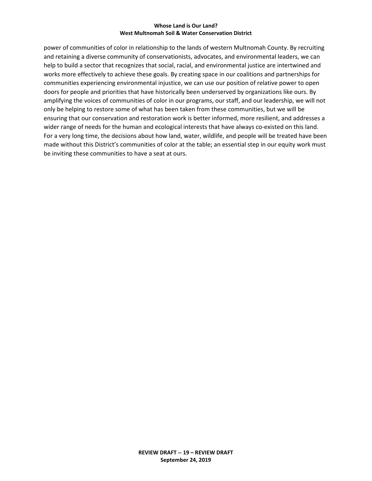power of communities of color in relationship to the lands of western Multnomah County. By recruiting and retaining a diverse community of conservationists, advocates, and environmental leaders, we can help to build a sector that recognizes that social, racial, and environmental justice are intertwined and works more effectively to achieve these goals. By creating space in our coalitions and partnerships for communities experiencing environmental injustice, we can use our position of relative power to open doors for people and priorities that have historically been underserved by organizations like ours. By amplifying the voices of communities of color in our programs, our staff, and our leadership, we will not only be helping to restore some of what has been taken from these communities, but we will be ensuring that our conservation and restoration work is better informed, more resilient, and addresses a wider range of needs for the human and ecological interests that have always co-existed on this land. For a very long time, the decisions about how land, water, wildlife, and people will be treated have been made without this District's communities of color at the table; an essential step in our equity work must be inviting these communities to have a seat at ours.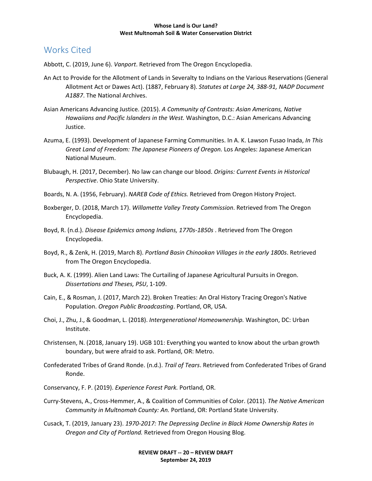## Works Cited

Abbott, C. (2019, June 6). *Vanport*. Retrieved from The Oregon Encyclopedia.

- An Act to Provide for the Allotment of Lands in Severalty to Indians on the Various Reservations (General Allotment Act or Dawes Act). (1887, February 8). *Statutes at Large 24, 388-91, NADP Document A1887*. The National Archives.
- Asian Americans Advancing Justice. (2015). *A Community of Contrasts: Asian Americans, Native Hawaiians and Pacific Islanders in the West.* Washington, D.C.: Asian Americans Advancing Justice.
- Azuma, E. (1993). Development of Japanese Farming Communities. In A. K. Lawson Fusao Inada, *In This Great Land of Freedom: The Japanese Pioneers of Oregon.* Los Angeles: Japanese American National Museum.
- Blubaugh, H. (2017, December). No law can change our blood. *Origins: Current Events in Historical Perspective*. Ohio State University.
- Boards, N. A. (1956, February). *NAREB Code of Ethics.* Retrieved from Oregon History Project.
- Boxberger, D. (2018, March 17). *Willamette Valley Treaty Commission*. Retrieved from The Oregon Encyclopedia.
- Boyd, R. (n.d.). *Disease Epidemics among Indians, 1770s-1850s* . Retrieved from The Oregon Encyclopedia.
- Boyd, R., & Zenk, H. (2019, March 8). *Portland Basin Chinookan Villages in the early 1800s*. Retrieved from The Oregon Encyclopedia.
- Buck, A. K. (1999). Alien Land Laws: The Curtailing of Japanese Agricultural Pursuits in Oregon. *Dissertations and Theses, PSU*, 1-109.
- Cain, E., & Rosman, J. (2017, March 22). Broken Treaties: An Oral History Tracing Oregon's Native Population. *Oregon Public Broadcasting*. Portland, OR, USA.
- Choi, J., Zhu, J., & Goodman, L. (2018). *Intergenerational Homeownership.* Washington, DC: Urban Institute.
- Christensen, N. (2018, January 19). UGB 101: Everything you wanted to know about the urban growth boundary, but were afraid to ask. Portland, OR: Metro.
- Confederated Tribes of Grand Ronde. (n.d.). *Trail of Tears*. Retrieved from Confederated Tribes of Grand Ronde.
- Conservancy, F. P. (2019). *Experience Forest Park.* Portland, OR.
- Curry-Stevens, A., Cross-Hemmer, A., & Coalition of Communities of Color. (2011). *The Native American Community in Multnomah County: An.* Portland, OR: Portland State University.
- Cusack, T. (2019, January 23). *1970-2017: The Depressing Decline in Black Home Ownership Rates in Oregon and City of Portland.* Retrieved from Oregon Housing Blog.

**REVIEW DRAFT -- 20 – REVIEW DRAFT September 24, 2019**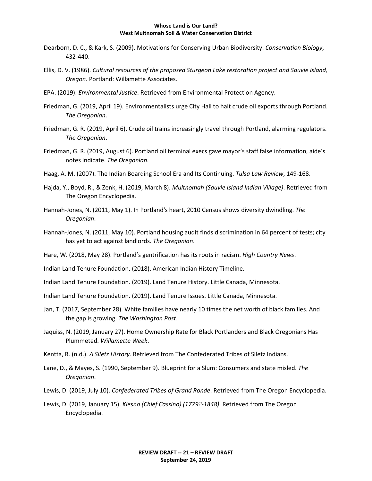- Dearborn, D. C., & Kark, S. (2009). Motivations for Conserving Urban Biodiversity. *Conservation Biology*, 432-440.
- Ellis, D. V. (1986). *Cultural resources of the proposed Sturgeon Lake restoration project and Sauvie Island, Oregon.* Portland: Willamette Associates.
- EPA. (2019). *Environmental Justice*. Retrieved from Environmental Protection Agency.
- Friedman, G. (2019, April 19). Environmentalists urge City Hall to halt crude oil exports through Portland. *The Oregonian*.
- Friedman, G. R. (2019, April 6). Crude oil trains increasingly travel through Portland, alarming regulators. *The Oregonian*.
- Friedman, G. R. (2019, August 6). Portland oil terminal execs gave mayor's staff false information, aide's notes indicate. *The Oregonian*.
- Haag, A. M. (2007). The Indian Boarding School Era and Its Continuing. *Tulsa Law Review*, 149-168.
- Hajda, Y., Boyd, R., & Zenk, H. (2019, March 8). *Multnomah (Sauvie Island Indian Village)*. Retrieved from The Oregon Encyclopedia.
- Hannah-Jones, N. (2011, May 1). In Portland's heart, 2010 Census shows diversity dwindling. *The Oregonian*.
- Hannah-Jones, N. (2011, May 10). Portland housing audit finds discrimination in 64 percent of tests; city has yet to act against landlords. *The Oregonian*.
- Hare, W. (2018, May 28). Portland's gentrification has its roots in racism. *High Country News*.
- Indian Land Tenure Foundation. (2018). American Indian History Timeline.
- Indian Land Tenure Foundation. (2019). Land Tenure History. Little Canada, Minnesota.
- Indian Land Tenure Foundation. (2019). Land Tenure Issues. Little Canada, Minnesota.
- Jan, T. (2017, September 28). White families have nearly 10 times the net worth of black families. And the gap is growing. *The Washington Post*.
- Jaquiss, N. (2019, January 27). Home Ownership Rate for Black Portlanders and Black Oregonians Has Plummeted. *Willamette Week*.
- Kentta, R. (n.d.). *A Siletz History*. Retrieved from The Confederated Tribes of Siletz Indians.
- Lane, D., & Mayes, S. (1990, September 9). Blueprint for a Slum: Consumers and state misled. *The Oregonian*.
- Lewis, D. (2019, July 10). *Confederated Tribes of Grand Ronde*. Retrieved from The Oregon Encyclopedia.
- Lewis, D. (2019, January 15). *Kiesno (Chief Cassino) (1779?-1848)*. Retrieved from The Oregon Encyclopedia.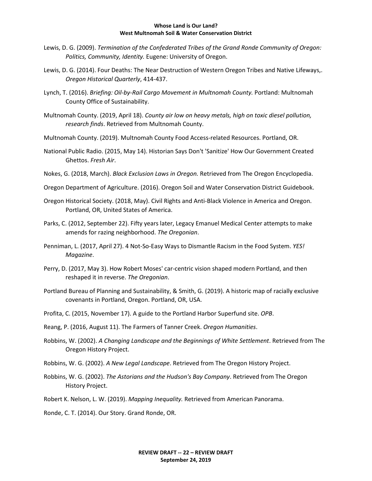- Lewis, D. G. (2009). *Termination of the Confederated Tribes of the Grand Ronde Community of Oregon: Politics, Community, Identity.* Eugene: University of Oregon.
- Lewis, D. G. (2014). Four Deaths: The Near Destruction of Western Oregon Tribes and Native Lifeways,. *Oregon Historical Quarterly*, 414-437.
- Lynch, T. (2016). *Briefing: Oil-by-Rail Cargo Movement in Multnomah County.* Portland: Multnomah County Office of Sustainability.
- Multnomah County. (2019, April 18). *County air low on heavy metals, high on toxic diesel pollution, research finds*. Retrieved from Multnomah County.
- Multnomah County. (2019). Multnomah County Food Access-related Resources. Portland, OR.
- National Public Radio. (2015, May 14). Historian Says Don't 'Sanitize' How Our Government Created Ghettos. *Fresh Air*.
- Nokes, G. (2018, March). *Black Exclusion Laws in Oregon.* Retrieved from The Oregon Encyclopedia.
- Oregon Department of Agriculture. (2016). Oregon Soil and Water Conservation District Guidebook.
- Oregon Historical Society. (2018, May). Civil Rights and Anti-Black Violence in America and Oregon. Portland, OR, United States of America.
- Parks, C. (2012, September 22). Fifty years later, Legacy Emanuel Medical Center attempts to make amends for razing neighborhood. *The Oregonian*.
- Penniman, L. (2017, April 27). 4 Not-So-Easy Ways to Dismantle Racism in the Food System. *YES! Magazine*.
- Perry, D. (2017, May 3). How Robert Moses' car-centric vision shaped modern Portland, and then reshaped it in reverse. *The Oregonian*.
- Portland Bureau of Planning and Sustainability, & Smith, G. (2019). A historic map of racially exclusive covenants in Portland, Oregon. Portland, OR, USA.
- Profita, C. (2015, November 17). A guide to the Portland Harbor Superfund site. *OPB*.
- Reang, P. (2016, August 11). The Farmers of Tanner Creek. *Oregon Humanities*.
- Robbins, W. (2002). *A Changing Landscape and the Beginnings of White Settlement*. Retrieved from The Oregon History Project.
- Robbins, W. G. (2002). *A New Legal Landscape*. Retrieved from The Oregon History Project.
- Robbins, W. G. (2002). *The Astorians and the Hudson's Bay Company*. Retrieved from The Oregon History Project.
- Robert K. Nelson, L. W. (2019). *Mapping Inequality.* Retrieved from American Panorama.

Ronde, C. T. (2014). Our Story. Grand Ronde, OR.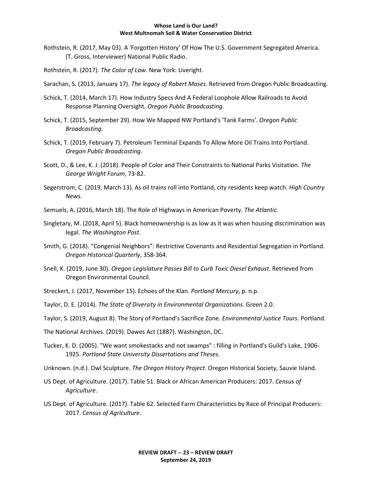- Rothstein, R. (2017, May 03). A 'Forgotten History' Of How The U.S. Government Segregated America. (T. Gross, Interviewer) National Public Radio.
- Rothstein, R. (2017). *The Color of Law.* New York: Liveright.
- Sarachan, S. (2013, January 17). *The legacy of Robert Moses.* Retrieved from Oregon Public Broadcasting.
- Schick, T. (2014, March 17). How Industry Specs And A Federal Loophole Allow Railroads to Avoid Response Planning Oversight. *Oregon Public Broadcasting*.
- Schick, T. (2015, September 29). How We Mapped NW Portland's 'Tank Farms'. *Oregon Public Broadcasting*.
- Schick, T. (2019, February 7). Petroleum Terminal Expands To Allow More Oil Trains Into Portland. *Oregon Public Broadcasting*.
- Scott, D., & Lee, K. J. (2018). People of Color and Their Constraints to National Parks Visitation. *The George Wright Forum*, 73-82.
- Segerstrom, C. (2019, March 13). As oil trains roll into Portland, city residents keep watch. *High Country News*.
- Semuels, A. (2016, March 18). The Role of Highways in American Poverty. *The Atlantic*.
- Singletary, M. (2018, April 5). Black homeownership is as low as it was when housing discrimination was legal. *The Washington Post*.
- Smith, G. (2018). "Congenial Neighbors": Restrictive Covenants and Residential Segregation in Portland. *Oregon Historical Quarterly*, 358-364.
- Snell, K. (2019, June 30). *Oregon Legislature Passes Bill to Curb Toxic Diesel Exhaust*. Retrieved from Oregon Environmental Council.
- Streckert, J. (2017, November 15). Echoes of the Klan. *Portland Mercury*, p. n.p.
- Taylor, D. E. (2014). *The State of Diversity in Environmental Organizations.* Green 2.0.
- Taylor, S. (2019, August 8). The Story of Portland's Sacrifice Zone. *Environmental Justice Tours*. Portland.
- The National Archives. (2019). Dawes Act (1887). Washington, DC.
- Tucker, K. D. (2005). "We want smokestacks and not swamps" : filling in Portland's Guild's Lake, 1906- 1925. *Portland State University Dissertations and Theses*.
- Unknown. (n.d.). Owl Sculpture. *The Oregon History Project.* Oregon Historical Society, Sauvie Island.
- US Dept. of Agriculture. (2017). Table 51. Black or African American Producers: 2017. *Census of Agriculture*.
- US Dept. of Agriculture. (2017). Table 62. Selected Farm Characteristics by Race of Principal Producers: 2017. *Census of Agriculture*.